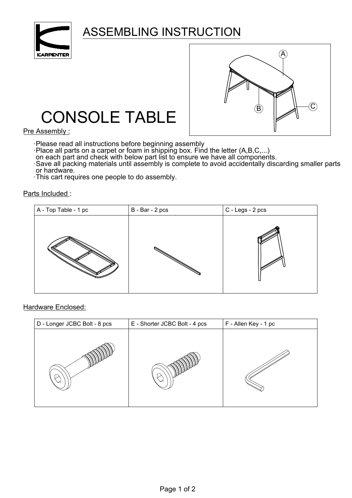

## ASSEMBLING INSTRUCTION



## CONSOLE TABLE

Pre Assembly :

- 
- ·Please read all instructions before beginning assembly<br>·Place all parts on a carpet or foam in shipping box. Find the letter (A,B,C,...)<br>on each part and check with below part list to ensure we have all components.
- 
- Save all packing materials until assembly is complete to avoid accidentally discarding smaller parts or hardware.
- This cart requires one people to do assembly. .

Parts Included :



## Hardware Enclosed:

| D - Longer JCBC Bolt - 8 pcs | E - Shorter JCBC Bolt - 4 pcs | F - Allen Key - 1 pc |
|------------------------------|-------------------------------|----------------------|
|                              |                               |                      |